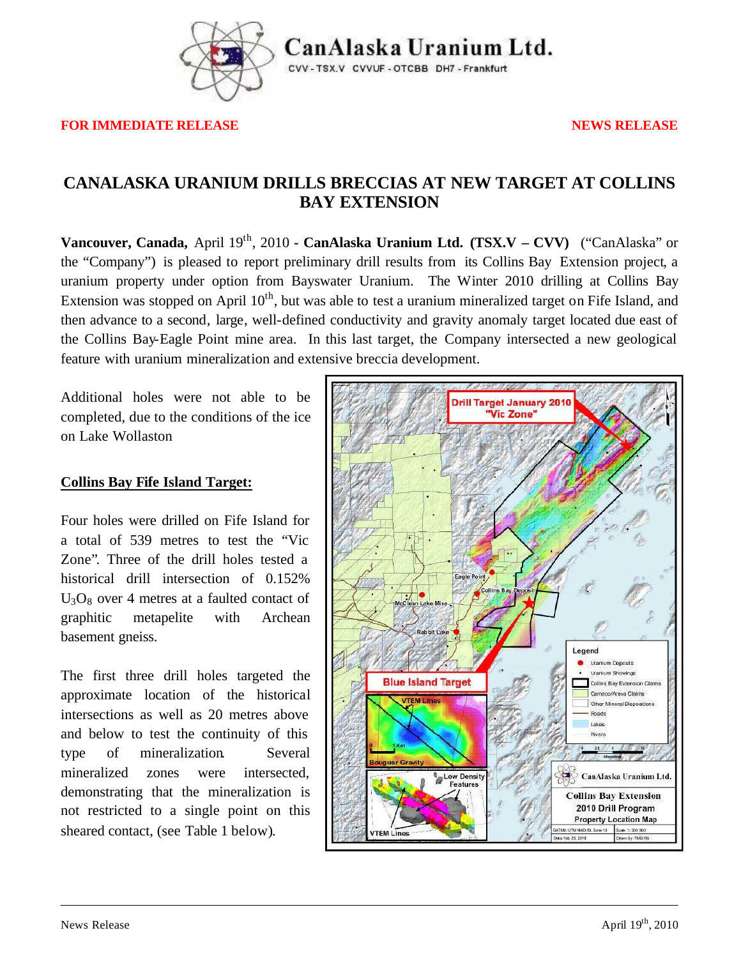

Can Alaska Uranium Ltd.

CVV-TSX.V CVVUF-OTCBB DH7-Frankfurt

**FOR IMMEDIATE RELEASE NEWS RELEASE** 

## **CANALASKA URANIUM DRILLS BRECCIAS AT NEW TARGET AT COLLINS BAY EXTENSION**

Vancouver, Canada, April 19<sup>th</sup>, 2010 - CanAlaska Uranium Ltd. (TSX.V – CVV) ("CanAlaska" or the "Company") is pleased to report preliminary drill results from its Collins Bay Extension project, a uranium property under option from Bayswater Uranium. The Winter 2010 drilling at Collins Bay Extension was stopped on April 10<sup>th</sup>, but was able to test a uranium mineralized target on Fife Island, and then advance to a second, large, well-defined conductivity and gravity anomaly target located due east of the Collins Bay-Eagle Point mine area. In this last target, the Company intersected a new geological feature with uranium mineralization and extensive breccia development.

Additional holes were not able to be completed, due to the conditions of the ice on Lake Wollaston

### **Collins Bay Fife Island Target:**

Four holes were drilled on Fife Island for a total of 539 metres to test the "Vic Zone". Three of the drill holes tested a historical drill intersection of 0.152%  $U_3O_8$  over 4 metres at a faulted contact of graphitic metapelite with Archean basement gneiss.

The first three drill holes targeted the approximate location of the historical intersections as well as 20 metres above and below to test the continuity of this type of mineralization. Several mineralized zones were intersected, demonstrating that the mineralization is not restricted to a single point on this sheared contact, (see Table 1 below).

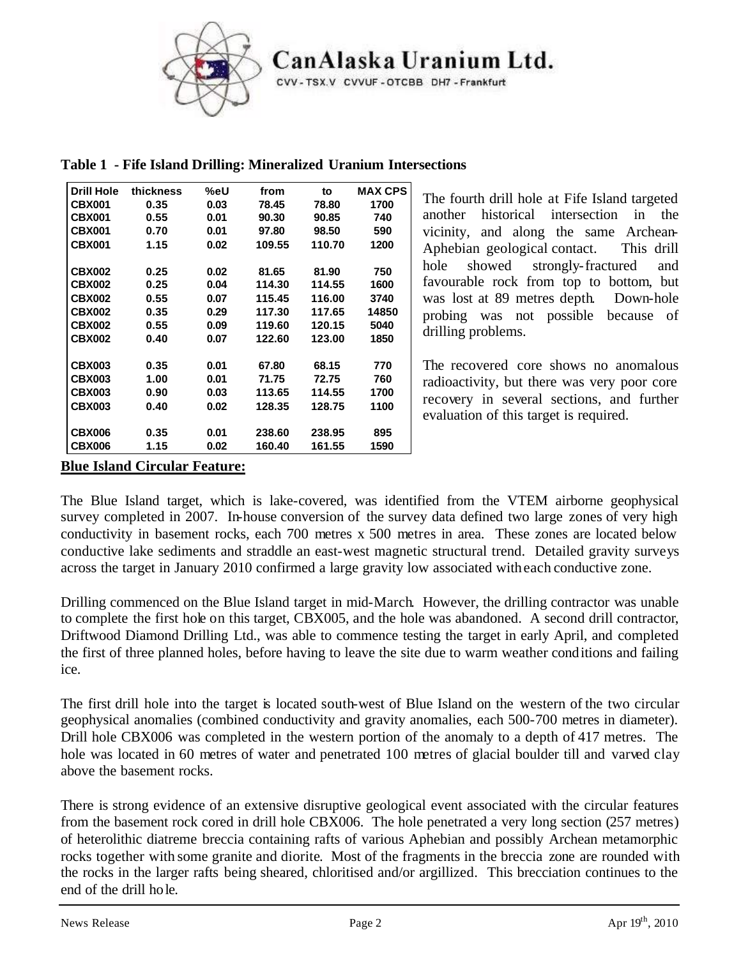

CanAlaska Uranium Ltd.

CVV-TSX.V CVVUF-OTCBB DH7-Frankfurt

| <b>Drill Hole</b> | thickness | %eU  | from   | to     | <b>MAX CPS</b> |
|-------------------|-----------|------|--------|--------|----------------|
| <b>CBX001</b>     | 0.35      | 0.03 | 78.45  | 78.80  | 1700           |
| <b>CBX001</b>     | 0.55      | 0.01 | 90.30  | 90.85  | 740            |
| <b>CBX001</b>     | 0.70      | 0.01 | 97.80  | 98.50  | 590            |
| <b>CBX001</b>     | 1.15      | 0.02 | 109.55 | 110.70 | 1200           |
|                   |           |      |        |        |                |
| <b>CBX002</b>     | 0.25      | 0.02 | 81.65  | 81.90  | 750            |
| <b>CBX002</b>     | 0.25      | 0.04 | 114.30 | 114.55 | 1600           |
| <b>CBX002</b>     | 0.55      | 0.07 | 115.45 | 116.00 | 3740           |
| <b>CBX002</b>     | 0.35      | 0.29 | 117.30 | 117.65 | 14850          |
| <b>CBX002</b>     | 0.55      | 0.09 | 119.60 | 120.15 | 5040           |
| <b>CBX002</b>     | 0.40      | 0.07 | 122.60 | 123.00 | 1850           |
|                   |           |      |        |        |                |
| <b>CBX003</b>     | 0.35      | 0.01 | 67.80  | 68.15  | 770            |
| <b>CBX003</b>     | 1.00      | 0.01 | 71.75  | 72.75  | 760            |
| <b>CBX003</b>     | 0.90      | 0.03 | 113.65 | 114.55 | 1700           |
| <b>CBX003</b>     | 0.40      | 0.02 | 128.35 | 128.75 | 1100           |
|                   |           |      |        |        |                |
| <b>CBX006</b>     | 0.35      | 0.01 | 238.60 | 238.95 | 895            |
| <b>CBX006</b>     | 1.15      | 0.02 | 160.40 | 161.55 | 1590           |

**Table 1 - Fife Island Drilling: Mineralized Uranium Intersections**

The fourth drill hole at Fife Island targeted another historical intersection in the vicinity, and along the same Archean-Aphebian geological contact. This drill hole showed strongly-fractured and favourable rock from top to bottom, but was lost at 89 metres depth. Down-hole probing was not possible because of drilling problems.

The recovered core shows no anomalous radioactivity, but there was very poor core recovery in several sections, and further evaluation of this target is required.

### **Blue Island Circular Feature:**

The Blue Island target, which is lake-covered, was identified from the VTEM airborne geophysical survey completed in 2007. In-house conversion of the survey data defined two large zones of very high conductivity in basement rocks, each 700 metres x 500 metres in area. These zones are located below conductive lake sediments and straddle an east-west magnetic structural trend. Detailed gravity surveys across the target in January 2010 confirmed a large gravity low associated with each conductive zone.

Drilling commenced on the Blue Island target in mid-March. However, the drilling contractor was unable to complete the first hole on this target, CBX005, and the hole was abandoned. A second drill contractor, Driftwood Diamond Drilling Ltd., was able to commence testing the target in early April, and completed the first of three planned holes, before having to leave the site due to warm weather conditions and failing ice.

The first drill hole into the target is located south-west of Blue Island on the western of the two circular geophysical anomalies (combined conductivity and gravity anomalies, each 500-700 metres in diameter). Drill hole CBX006 was completed in the western portion of the anomaly to a depth of 417 metres. The hole was located in 60 metres of water and penetrated 100 metres of glacial boulder till and varved clay above the basement rocks.

There is strong evidence of an extensive disruptive geological event associated with the circular features from the basement rock cored in drill hole CBX006. The hole penetrated a very long section (257 metres) of heterolithic diatreme breccia containing rafts of various Aphebian and possibly Archean metamorphic rocks together with some granite and diorite. Most of the fragments in the breccia zone are rounded with the rocks in the larger rafts being sheared, chloritised and/or argillized. This brecciation continues to the end of the drill hole.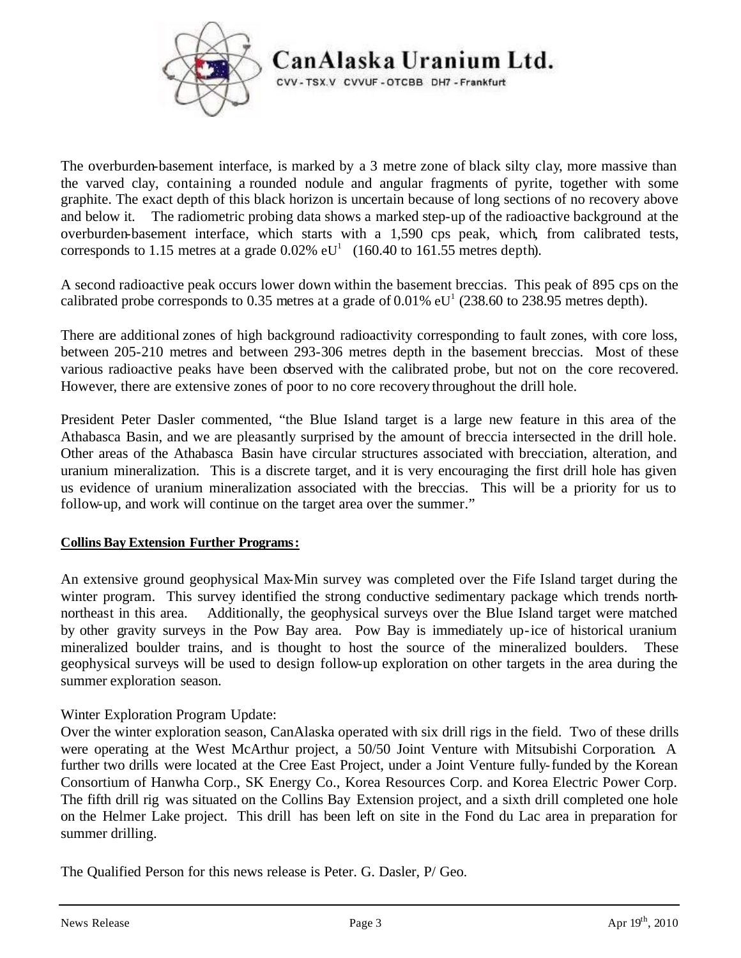

# CanAlaska Uranium Ltd.

CVV-TSX.V CVVUF-OTCBB DH7-Frankfurt

The overburden-basement interface, is marked by a 3 metre zone of black silty clay, more massive than the varved clay, containing a rounded nodule and angular fragments of pyrite, together with some graphite. The exact depth of this black horizon is uncertain because of long sections of no recovery above and below it. The radiometric probing data shows a marked step-up of the radioactive background at the overburden-basement interface, which starts with a 1,590 cps peak, which, from calibrated tests, corresponds to 1.15 metres at a grade  $0.02\%$  eU<sup>1</sup> (160.40 to 161.55 metres depth).

A second radioactive peak occurs lower down within the basement breccias. This peak of 895 cps on the calibrated probe corresponds to 0.35 metres at a grade of 0.01%  $eU^1$  (238.60 to 238.95 metres depth).

There are additional zones of high background radioactivity corresponding to fault zones, with core loss, between 205-210 metres and between 293-306 metres depth in the basement breccias. Most of these various radioactive peaks have been observed with the calibrated probe, but not on the core recovered. However, there are extensive zones of poor to no core recovery throughout the drill hole.

President Peter Dasler commented, "the Blue Island target is a large new feature in this area of the Athabasca Basin, and we are pleasantly surprised by the amount of breccia intersected in the drill hole. Other areas of the Athabasca Basin have circular structures associated with brecciation, alteration, and uranium mineralization. This is a discrete target, and it is very encouraging the first drill hole has given us evidence of uranium mineralization associated with the breccias. This will be a priority for us to follow-up, and work will continue on the target area over the summer."

### **Collins Bay Extension Further Programs:**

An extensive ground geophysical Max-Min survey was completed over the Fife Island target during the winter program. This survey identified the strong conductive sedimentary package which trends northnortheast in this area. Additionally, the geophysical surveys over the Blue Island target were matched by other gravity surveys in the Pow Bay area. Pow Bay is immediately up-ice of historical uranium mineralized boulder trains, and is thought to host the source of the mineralized boulders. These geophysical surveys will be used to design follow-up exploration on other targets in the area during the summer exploration season.

### Winter Exploration Program Update:

Over the winter exploration season, CanAlaska operated with six drill rigs in the field. Two of these drills were operating at the West McArthur project, a 50/50 Joint Venture with Mitsubishi Corporation. A further two drills were located at the Cree East Project, under a Joint Venture fully-funded by the Korean Consortium of Hanwha Corp., SK Energy Co., Korea Resources Corp. and Korea Electric Power Corp. The fifth drill rig was situated on the Collins Bay Extension project, and a sixth drill completed one hole on the Helmer Lake project. This drill has been left on site in the Fond du Lac area in preparation for summer drilling.

The Qualified Person for this news release is Peter. G. Dasler, P/ Geo.